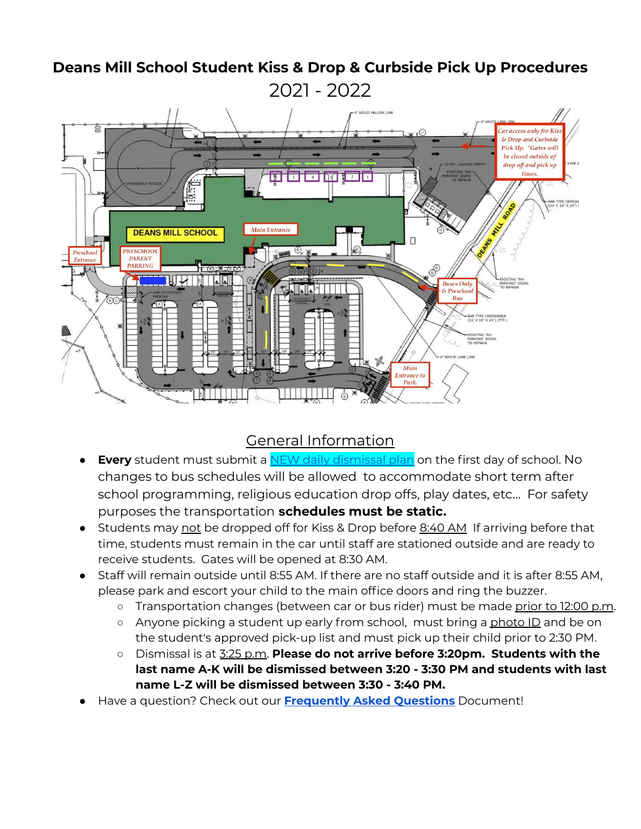#### SOLID YELLOW LINE ar access only for Kis & Drop and Curbside Pick Up. \*Gates will be closed outside of drop off and pick up timos <u> Fiziria a</u> AR TYPE CROSSV<br>10' X 16" X 24") ( Main Entrance **DEANS MILL SCHOOL PRESCHOOL**  $\circ$ Preschoo  $E_{\text{eff}}$ **PARENT** PARKING 一份之  $\binom{6}{5}$ **Buses Only**<br>& Preschool  $R_{\text{He}}$ HAR TYPE CROSSWALK<br>10' X 16" X 24") (TYP.) Mair

# **Deans Mill School Student Kiss & Drop & Curbside Pick Up Procedures** 2021 - 2022

### General Information

- **Every** student must submit a **NEW daily [dismissal](https://docs.google.com/document/d/10wnaQl0YShIdp-pMdzakF-dVDQ7kJzOr/edit?usp=sharing&ouid=117536481681839615087&rtpof=true&sd=true) plan** on the first day of school. No changes to bus schedules will be allowed to accommodate short term after school programming, religious education drop offs, play dates, etc… For safety purposes the transportation **schedules must be static.**
- Students may not be dropped off for Kiss & Drop before 8:40 AM If arriving before that time, students must remain in the car until staff are stationed outside and are ready to receive students. Gates will be opened at 8:30 AM.
- Staff will remain outside until 8:55 AM. If there are no staff outside and it is after 8:55 AM, please park and escort your child to the main office doors and ring the buzzer.
	- o Transportation changes (between car or bus rider) must be made prior to 12:00 p.m.
	- Anyone picking a student up early from school, must bring a photo ID and be on the student's approved pick-up list and must pick up their child prior to 2:30 PM.
	- Dismissal is at 3:25 p.m. **Please do not arrive before 3:20pm. Students with the last name A-K will be dismissed between 3:20 - 3:30 PM and students with last name L-Z will be dismissed between 3:30 - 3:40 PM.**
- Have a question? Check out our **[Frequently](https://docs.google.com/document/d/1U65K1zP_FQZp_z7KTzJDO1nxNl8h0EItWkd-URoyZwo/edit?usp=sharing) Asked Questions** Document!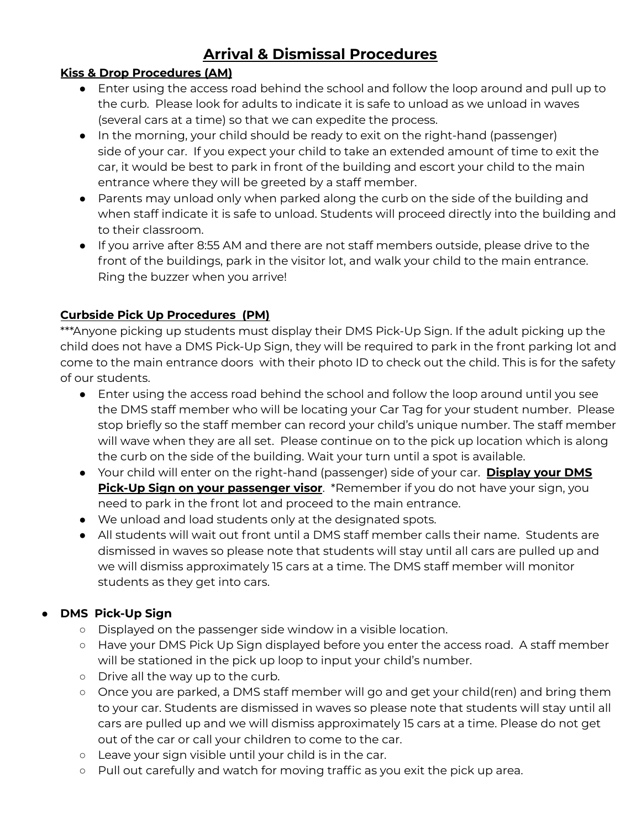# **Arrival & Dismissal Procedures**

### **Kiss & Drop Procedures (AM)**

- Enter using the access road behind the school and follow the loop around and pull up to the curb. Please look for adults to indicate it is safe to unload as we unload in waves (several cars at a time) so that we can expedite the process.
- In the morning, your child should be ready to exit on the right-hand (passenger) side of your car. If you expect your child to take an extended amount of time to exit the car, it would be best to park in front of the building and escort your child to the main entrance where they will be greeted by a staff member.
- Parents may unload only when parked along the curb on the side of the building and when staff indicate it is safe to unload. Students will proceed directly into the building and to their classroom.
- If you arrive after 8:55 AM and there are not staff members outside, please drive to the front of the buildings, park in the visitor lot, and walk your child to the main entrance. Ring the buzzer when you arrive!

### **Curbside Pick Up Procedures (PM)**

\*\*\*Anyone picking up students must display their DMS Pick-Up Sign. If the adult picking up the child does not have a DMS Pick-Up Sign, they will be required to park in the front parking lot and come to the main entrance doors with their photo ID to check out the child. This is for the safety of our students.

- Enter using the access road behind the school and follow the loop around until you see the DMS staff member who will be locating your Car Tag for your student number. Please stop briefly so the staff member can record your child's unique number. The staff member will wave when they are all set. Please continue on to the pick up location which is along the curb on the side of the building. Wait your turn until a spot is available.
- Your child will enter on the right-hand (passenger) side of your car. **Display your DMS Pick-Up Sign on your passenger visor**. \*Remember if you do not have your sign, you need to park in the front lot and proceed to the main entrance.
- We unload and load students only at the designated spots.
- All students will wait out front until a DMS staff member calls their name. Students are dismissed in waves so please note that students will stay until all cars are pulled up and we will dismiss approximately 15 cars at a time. The DMS staff member will monitor students as they get into cars.

### **● DMS Pick-Up Sign**

- Displayed on the passenger side window in a visible location.
- Have your DMS Pick Up Sign displayed before you enter the access road. A staff member will be stationed in the pick up loop to input your child's number.
- Drive all the way up to the curb.
- Once you are parked, a DMS staff member will go and get your child(ren) and bring them to your car. Students are dismissed in waves so please note that students will stay until all cars are pulled up and we will dismiss approximately 15 cars at a time. Please do not get out of the car or call your children to come to the car.
- Leave your sign visible until your child is in the car.
- **○** Pull out carefully and watch for moving traffic as you exit the pick up area.